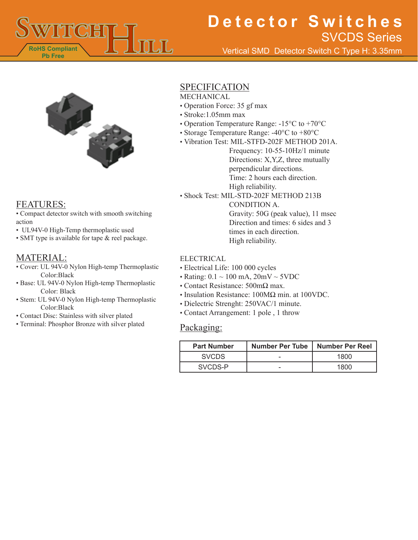

# **Detector Switches** SVCDS Series

Vertical SMD Detector Switch C Type H: 3.35mm



### FEATURES:

• Compact detector switch with smooth switching action

- UL94V-0 High-Temp thermoplastic used
- SMT type is available for tape & reel package.

## MATERIAL:

- Cover: UL 94V-0 Nylon High-temp Thermoplastic Color:Black
- Base: UL 94V-0 Nylon High-temp Thermoplastic Color: Black
- Stem: UL 94V-0 Nylon High-temp Thermoplastic Color:Black
- Contact Disc: Stainless with silver plated
- Terminal: Phosphor Bronze with silver plated

## SPECIFICATION

MECHANICAL

- Operation Force: 35 gf max
- Stroke:1.05mm max
- Operation Temperature Range: -15°C to +70°C
- Storage Temperature Range: -40°C to +80°C
- Vibration Test: MIL-STFD-202F METHOD 201A.

Frequency: 10-55-10Hz/1 minute Directions: X,Y,Z, three mutually perpendicular directions. Time: 2 hours each direction. High reliability.

• Shock Test: MIL-STD-202F METHOD 213B CONDITION A. Gravity: 50G (peak value), 11 msec Direction and times: 6 sides and 3 times in each direction.

High reliability.

#### ELECTRICAL

- Electrical Life: 100 000 cycles
- Rating:  $0.1 \sim 100$  mA,  $20$ mV  $\sim$  5VDC
- Contact Resistance: 500mΩ max.
- Insulation Resistance: 100MΩ min. at 100VDC.
- Dielectric Strenght: 250VAC/1 minute.
- Contact Arrangement: 1 pole , 1 throw

### Packaging:

| <b>Part Number</b> | <b>Number Per Tube</b> | Number Per Reel |
|--------------------|------------------------|-----------------|
| <b>SVCDS</b>       |                        | 1800            |
| SVCDS-P            | -                      | 1800            |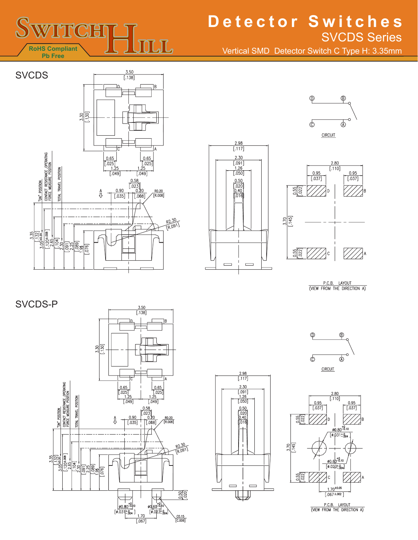

## **Detector Switches** SVCDS Series

Vertical SMD Detector Switch C Type H: 3.35mm









P.C.B. LAYOUT<br>(VIEW FROM THE DIRECTION A)











P.C.B. LAYOUT<br>(VIEW FROM THE DIRECTION A)